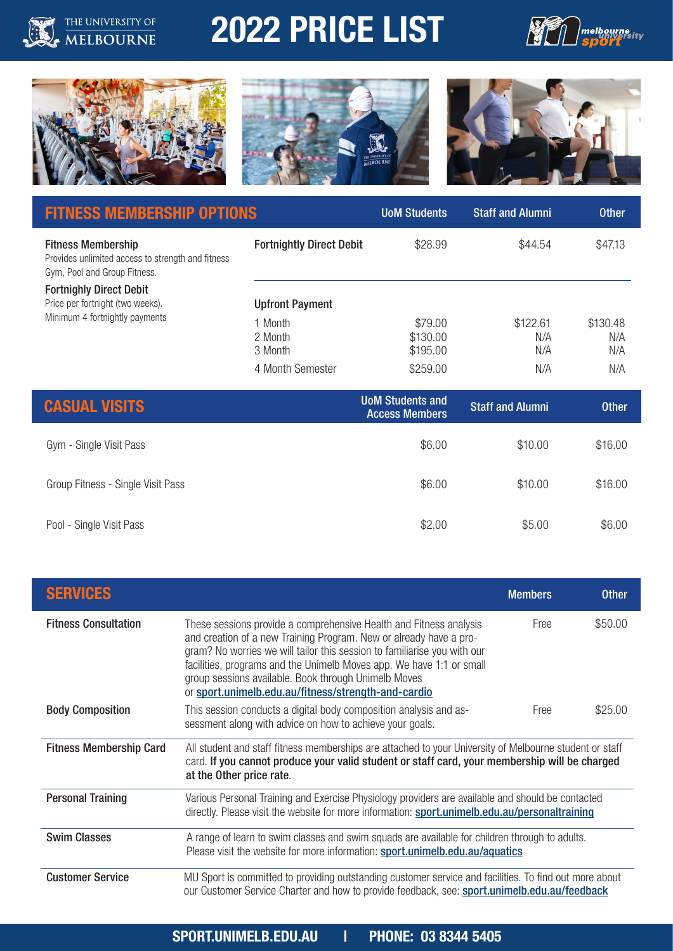# 2022 PRICE LIST





THE UNIVERSITY OF





| <b>FITNESS MEMBERSHIP OPTIONS</b>                                                                              |                                 | <b>UoM Students</b>             | <b>Staff and Alumni</b> | <b>Other</b>           |
|----------------------------------------------------------------------------------------------------------------|---------------------------------|---------------------------------|-------------------------|------------------------|
| <b>Fitness Membership</b><br>Provides unlimited access to strength and fitness<br>Gym, Pool and Group Fitness. | <b>Fortnightly Direct Debit</b> | \$28.99                         | \$44.54                 | \$47.13                |
| <b>Fortnighly Direct Debit</b><br>Price per fortnight (two weeks).                                             | <b>Upfront Payment</b>          |                                 |                         |                        |
| Minimum 4 fortnightly payments                                                                                 | 1 Month<br>2 Month<br>3 Month   | \$79.00<br>\$130.00<br>\$195.00 | \$122.61<br>N/A<br>N/A  | \$130.48<br>N/A<br>N/A |
|                                                                                                                | 4 Month Semester                | \$259.00                        | N/A                     | N/A                    |
| CASHAL<br>VISITS                                                                                               |                                 | <b>UoM Students and</b>         | <b>Staff and Alumni</b> | <b>Other</b>           |

| <b>CASUAL VISITS</b>              | <b>UOM Students and</b><br><b>Access Members</b> | <b>Staff and Alumni</b> | <b>Other</b> |
|-----------------------------------|--------------------------------------------------|-------------------------|--------------|
| Gym - Single Visit Pass           | \$6.00                                           | \$10.00                 | \$16.00      |
| Group Fitness - Single Visit Pass | \$6.00                                           | \$10.00                 | \$16.00      |
| Pool - Single Visit Pass          | \$2.00                                           | \$5.00                  | \$6.00       |

| <b>SERVICES</b>                |                                                                                                                                                                                                                                                                                                                                                                                                             | <b>Members</b> | <b>Other</b> |
|--------------------------------|-------------------------------------------------------------------------------------------------------------------------------------------------------------------------------------------------------------------------------------------------------------------------------------------------------------------------------------------------------------------------------------------------------------|----------------|--------------|
| <b>Fitness Consultation</b>    | These sessions provide a comprehensive Health and Fitness analysis<br>and creation of a new Training Program. New or already have a pro-<br>gram? No worries we will tailor this session to familiarise you with our<br>facilities, programs and the Unimelb Moves app. We have 1:1 or small<br>group sessions available. Book through Unimelb Moves<br>or sport.unimelb.edu.au/fitness/strength-and-cardio | Free           | \$50.00      |
| <b>Body Composition</b>        | This session conducts a digital body composition analysis and as-<br>sessment along with advice on how to achieve your goals.                                                                                                                                                                                                                                                                               | Free           | \$25.00      |
| <b>Fitness Membership Card</b> | All student and staff fitness memberships are attached to your University of Melbourne student or staff<br>card. If you cannot produce your valid student or staff card, your membership will be charged<br>at the Other price rate.                                                                                                                                                                        |                |              |
| <b>Personal Training</b>       | Various Personal Training and Exercise Physiology providers are available and should be contacted<br>directly. Please visit the website for more information: sport.unimelb.edu.au/personaltraining                                                                                                                                                                                                         |                |              |
| <b>Swim Classes</b>            | A range of learn to swim classes and swim squads are available for children through to adults.<br>Please visit the website for more information: sport.unimelb.edu.au/aquatics                                                                                                                                                                                                                              |                |              |
| <b>Customer Service</b>        | MU Sport is committed to providing outstanding customer service and facilities. To find out more about<br>our Customer Service Charter and how to provide feedback, see: sport.unimelb.edu.au/feedback                                                                                                                                                                                                      |                |              |